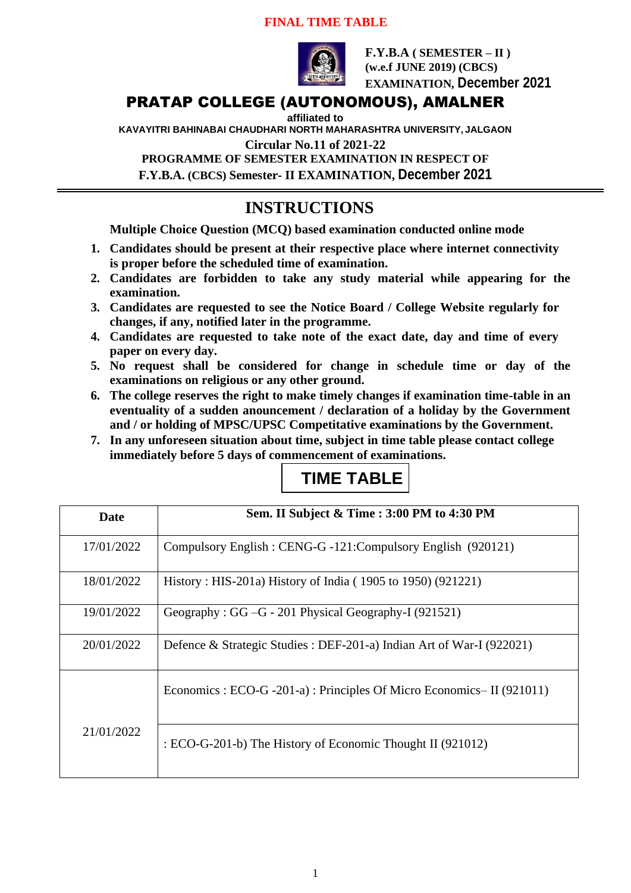### **FINAL TIME TABLE**



**F.Y.B.A ( SEMESTER – II ) (w.e.f JUNE 2019) (CBCS) EXAMINATION, December 2021**

### PRATAP COLLEGE (AUTONOMOUS), AMALNER

**affiliated to** 

**KAVAYITRI BAHINABAI CHAUDHARI NORTH MAHARASHTRA UNIVERSITY, JALGAON**

**Circular No.11 of 2021-22**

**PROGRAMME OF SEMESTER EXAMINATION IN RESPECT OF**

**F.Y.B.A. (CBCS) Semester- II EXAMINATION, December 2021**

## **INSTRUCTIONS**

**Multiple Choice Question (MCQ) based examination conducted online mode**

- **1. Candidates should be present at their respective place where internet connectivity is proper before the scheduled time of examination.**
- **2. Candidates are forbidden to take any study material while appearing for the examination.**
- **3. Candidates are requested to see the Notice Board / College Website regularly for changes, if any, notified later in the programme.**
- **4. Candidates are requested to take note of the exact date, day and time of every paper on every day.**
- **5. No request shall be considered for change in schedule time or day of the examinations on religious or any other ground.**
- **6. The college reserves the right to make timely changes if examination time-table in an eventuality of a sudden anouncement / declaration of a holiday by the Government and / or holding of MPSC/UPSC Competitative examinations by the Government.**
- **7. In any unforeseen situation about time, subject in time table please contact college immediately before 5 days of commencement of examinations.**

| Date       | Sem. II Subject & Time: 3:00 PM to 4:30 PM                            |
|------------|-----------------------------------------------------------------------|
| 17/01/2022 | Compulsory English : CENG-G -121: Compulsory English (920121)         |
| 18/01/2022 | History: HIS-201a) History of India (1905 to 1950) (921221)           |
| 19/01/2022 | Geography : GG - G - 201 Physical Geography-I (921521)                |
| 20/01/2022 | Defence & Strategic Studies : DEF-201-a) Indian Art of War-I (922021) |
|            | Economics : ECO-G -201-a) : Principles Of Micro Economics-II (921011) |
| 21/01/2022 | : ECO-G-201-b) The History of Economic Thought II (921012)            |

# **TIME TABLE**